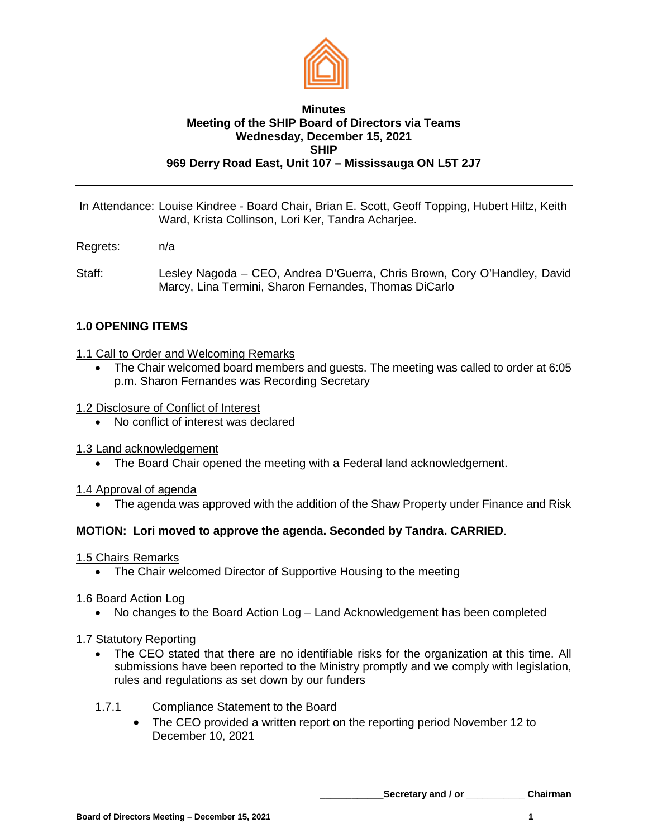

#### **Minutes Meeting of the SHIP Board of Directors via Teams Wednesday, December 15, 2021 SHIP 969 Derry Road East, Unit 107 – Mississauga ON L5T 2J7**

In Attendance: Louise Kindree - Board Chair, Brian E. Scott, Geoff Topping, Hubert Hiltz, Keith Ward, Krista Collinson, Lori Ker, Tandra Acharjee.

- Regrets: n/a
- Staff: Lesley Nagoda CEO, Andrea D'Guerra, Chris Brown, Cory O'Handley, David Marcy, Lina Termini, Sharon Fernandes, Thomas DiCarlo

# **1.0 OPENING ITEMS**

## 1.1 Call to Order and Welcoming Remarks

- The Chair welcomed board members and guests. The meeting was called to order at 6:05 p.m. Sharon Fernandes was Recording Secretary
- 1.2 Disclosure of Conflict of Interest
	- No conflict of interest was declared
- 1.3 Land acknowledgement
	- The Board Chair opened the meeting with a Federal land acknowledgement.

1.4 Approval of agenda

• The agenda was approved with the addition of the Shaw Property under Finance and Risk

# **MOTION: Lori moved to approve the agenda. Seconded by Tandra. CARRIED**.

1.5 Chairs Remarks

• The Chair welcomed Director of Supportive Housing to the meeting

#### 1.6 Board Action Log

• No changes to the Board Action Log – Land Acknowledgement has been completed

# 1.7 Statutory Reporting

- The CEO stated that there are no identifiable risks for the organization at this time. All submissions have been reported to the Ministry promptly and we comply with legislation, rules and regulations as set down by our funders
- 1.7.1 Compliance Statement to the Board
	- The CEO provided a written report on the reporting period November 12 to December 10, 2021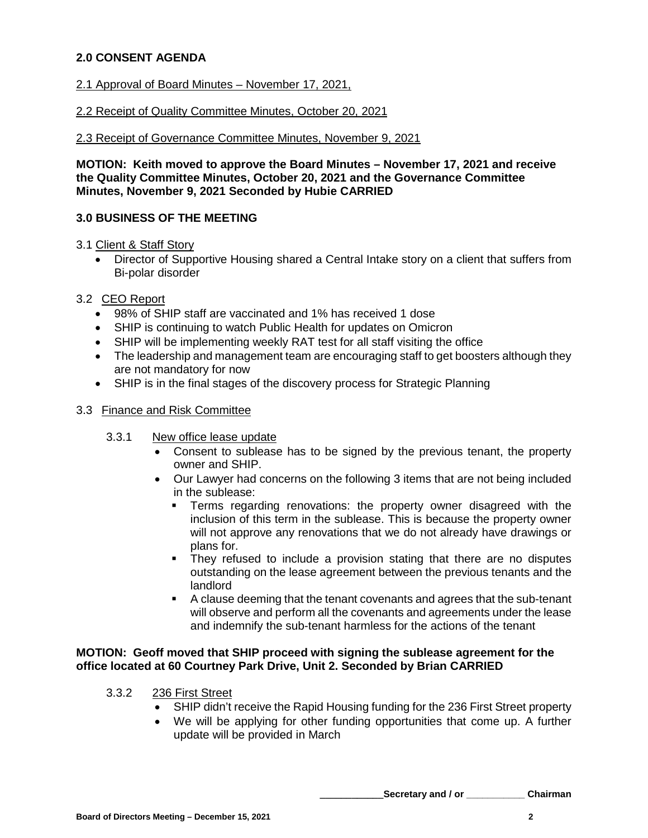# **2.0 CONSENT AGENDA**

## 2.1 Approval of Board Minutes – November 17, 2021,

#### 2.2 Receipt of Quality Committee Minutes, October 20, 2021

#### 2.3 Receipt of Governance Committee Minutes, November 9, 2021

**MOTION: Keith moved to approve the Board Minutes – November 17, 2021 and receive the Quality Committee Minutes, October 20, 2021 and the Governance Committee Minutes, November 9, 2021 Seconded by Hubie CARRIED**

# **3.0 BUSINESS OF THE MEETING**

#### 3.1 Client & Staff Story

• Director of Supportive Housing shared a Central Intake story on a client that suffers from Bi-polar disorder

## 3.2 CEO Report

- 98% of SHIP staff are vaccinated and 1% has received 1 dose
- SHIP is continuing to watch Public Health for updates on Omicron
- SHIP will be implementing weekly RAT test for all staff visiting the office
- The leadership and management team are encouraging staff to get boosters although they are not mandatory for now
- SHIP is in the final stages of the discovery process for Strategic Planning

#### 3.3 Finance and Risk Committee

- 3.3.1 New office lease update
	- Consent to sublease has to be signed by the previous tenant, the property owner and SHIP.
	- Our Lawyer had concerns on the following 3 items that are not being included in the sublease:
		- Terms regarding renovations: the property owner disagreed with the inclusion of this term in the sublease. This is because the property owner will not approve any renovations that we do not already have drawings or plans for.
		- They refused to include a provision stating that there are no disputes outstanding on the lease agreement between the previous tenants and the landlord
		- A clause deeming that the tenant covenants and agrees that the sub-tenant will observe and perform all the covenants and agreements under the lease and indemnify the sub-tenant harmless for the actions of the tenant

## **MOTION: Geoff moved that SHIP proceed with signing the sublease agreement for the office located at 60 Courtney Park Drive, Unit 2. Seconded by Brian CARRIED**

- 3.3.2 236 First Street
	- SHIP didn't receive the Rapid Housing funding for the 236 First Street property
	- We will be applying for other funding opportunities that come up. A further update will be provided in March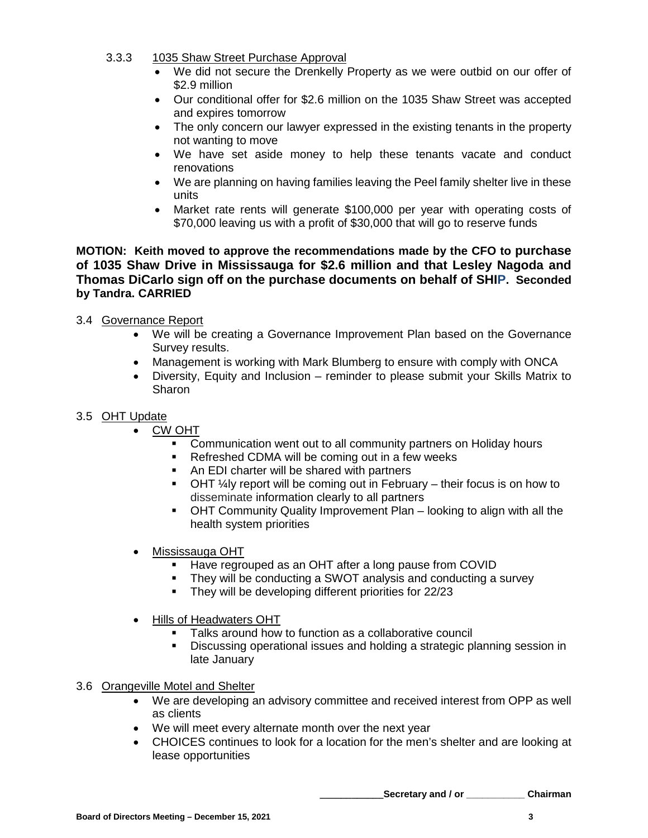- 3.3.3 1035 Shaw Street Purchase Approval
	- We did not secure the Drenkelly Property as we were outbid on our offer of \$2.9 million
	- Our conditional offer for \$2.6 million on the 1035 Shaw Street was accepted and expires tomorrow
	- The only concern our lawyer expressed in the existing tenants in the property not wanting to move
	- We have set aside money to help these tenants vacate and conduct renovations
	- We are planning on having families leaving the Peel family shelter live in these units
	- Market rate rents will generate \$100,000 per year with operating costs of \$70,000 leaving us with a profit of \$30,000 that will go to reserve funds

**MOTION: Keith moved to approve the recommendations made by the CFO to purchase of 1035 Shaw Drive in Mississauga for \$2.6 million and that Lesley Nagoda and Thomas DiCarlo sign off on the purchase documents on behalf of SHIP. Seconded by Tandra. CARRIED**

# 3.4 Governance Report

- We will be creating a Governance Improvement Plan based on the Governance Survey results.
- Management is working with Mark Blumberg to ensure with comply with ONCA
- Diversity, Equity and Inclusion reminder to please submit your Skills Matrix to **Sharon**

# 3.5 OHT Update

- **CW OHT** 
	- **Communication went out to all community partners on Holiday hours**
	- Refreshed CDMA will be coming out in a few weeks
	- An EDI charter will be shared with partners
	- $\blacksquare$  OHT  $\frac{1}{4}$  report will be coming out in February their focus is on how to disseminate information clearly to all partners
	- OHT Community Quality Improvement Plan looking to align with all the health system priorities
- Mississauga OHT
	- Have regrouped as an OHT after a long pause from COVID
	- They will be conducting a SWOT analysis and conducting a survey
	- They will be developing different priorities for 22/23
- Hills of Headwaters OHT
	- Talks around how to function as a collaborative council
	- Discussing operational issues and holding a strategic planning session in late January

# 3.6 Orangeville Motel and Shelter

- We are developing an advisory committee and received interest from OPP as well as clients
- We will meet every alternate month over the next year
- CHOICES continues to look for a location for the men's shelter and are looking at lease opportunities

**\_\_\_\_\_\_\_\_\_\_\_\_Secretary and / or \_\_\_\_\_\_\_\_\_\_\_ Chairman**